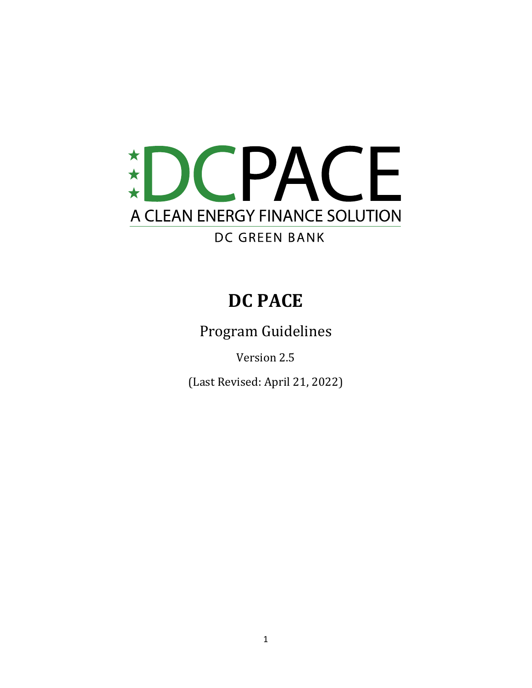

# **DC PACE**

Program Guidelines

Version 2.5

(Last Revised: April 21, 2022)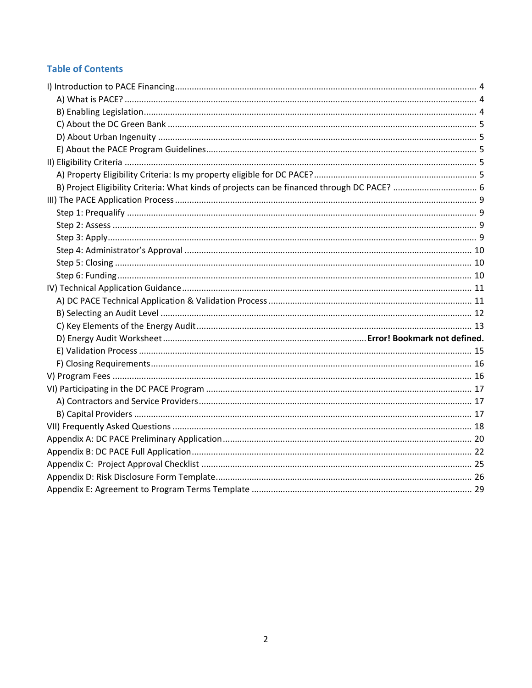## **Table of Contents**

| B) Project Eligibility Criteria: What kinds of projects can be financed through DC PACE?  6 |  |
|---------------------------------------------------------------------------------------------|--|
|                                                                                             |  |
|                                                                                             |  |
|                                                                                             |  |
|                                                                                             |  |
|                                                                                             |  |
|                                                                                             |  |
|                                                                                             |  |
|                                                                                             |  |
|                                                                                             |  |
|                                                                                             |  |
|                                                                                             |  |
|                                                                                             |  |
|                                                                                             |  |
|                                                                                             |  |
|                                                                                             |  |
|                                                                                             |  |
|                                                                                             |  |
|                                                                                             |  |
|                                                                                             |  |
|                                                                                             |  |
|                                                                                             |  |
|                                                                                             |  |
|                                                                                             |  |
|                                                                                             |  |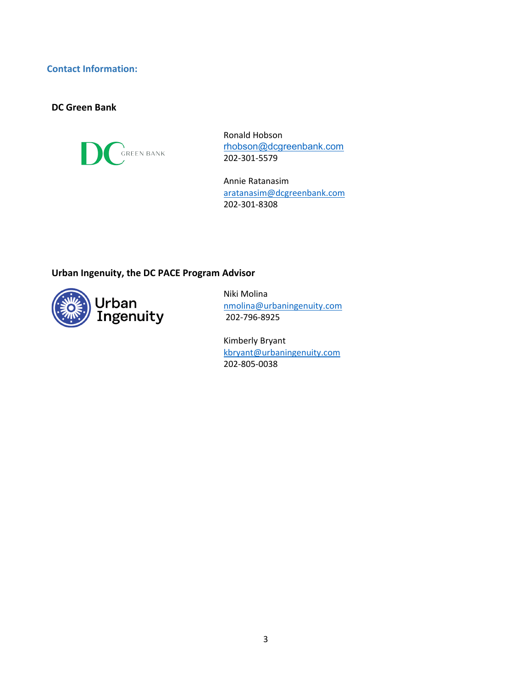### **Contact Information:**

#### **DC Green Bank**



Ronald Hobson [rhobson@dcgreenbank.com](mailto:https://dcgreenbank.com/pace/resources/) 202-301-5579

Annie Ratanasim [aratanasim@dcgreenbank.com](mailto:aratanasim@dcgreenbank.com) 202-301-8308

### **Urban Ingenuity, the DC PACE Program Advisor**



Niki Molina [nmolina@urbaningenuity.com](mailto:nmolina@urbaningenuity.com) 202-796-8925

Kimberly Bryant [kbryant@urbaningenuity.com](mailto:kbryant@urbaningenuity.com) 202-805-0038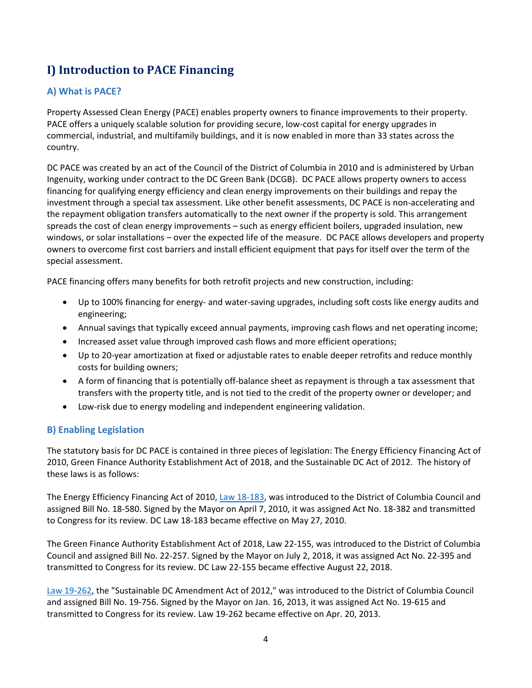# <span id="page-3-0"></span>**I) Introduction to PACE Financing**

### <span id="page-3-1"></span>**A) What is PACE?**

Property Assessed Clean Energy (PACE) enables property owners to finance improvements to their property. PACE offers a uniquely scalable solution for providing secure, low-cost capital for energy upgrades in commercial, industrial, and multifamily buildings, and it is now enabled in more than 33 states across the country.

DC PACE was created by an act of the Council of the District of Columbia in 2010 and is administered by Urban Ingenuity, working under contract to the DC Green Bank (DCGB). DC PACE allows property owners to access financing for qualifying energy efficiency and clean energy improvements on their buildings and repay the investment through a special tax assessment. Like other benefit assessments, DC PACE is non-accelerating and the repayment obligation transfers automatically to the next owner if the property is sold. This arrangement spreads the cost of clean energy improvements – such as energy efficient boilers, upgraded insulation, new windows, or solar installations – over the expected life of the measure. DC PACE allows developers and property owners to overcome first cost barriers and install efficient equipment that pays for itself over the term of the special assessment.

PACE financing offers many benefits for both retrofit projects and new construction, including:

- Up to 100% financing for energy- and water-saving upgrades, including soft costs like energy audits and engineering;
- Annual savings that typically exceed annual payments, improving cash flows and net operating income;
- Increased asset value through improved cash flows and more efficient operations;
- Up to 20-year amortization at fixed or adjustable rates to enable deeper retrofits and reduce monthly costs for building owners;
- A form of financing that is potentially off-balance sheet as repayment is through a tax assessment that transfers with the property title, and is not tied to the credit of the property owner or developer; and
- Low-risk due to energy modeling and independent engineering validation.

### <span id="page-3-2"></span>**B) Enabling Legislation**

The statutory basis for DC PACE is contained in three pieces of legislation: The Energy Efficiency Financing Act of 2010, Green Finance Authority Establishment Act of 2018, and the Sustainable DC Act of 2012. The history of these laws is as follows:

The Energy Efficiency Financing Act of 2010, Law [18-183,](https://code.dccouncil.us/us/dc/council/laws/18-183) was introduced to the District of Columbia Council and assigned Bill No. 18-580. Signed by the Mayor on April 7, 2010, it was assigned Act No. 18-382 and transmitted to Congress for its review. DC Law 18-183 became effective on May 27, 2010.

The Green Finance Authority Establishment Act of 2018, Law 22-155, was introduced to the District of Columbia Council and assigned Bill No. 22-257. Signed by the Mayor on July 2, 2018, it was assigned Act No. 22-395 and transmitted to Congress for its review. DC Law 22-155 became effective August 22, 2018.

Law [19-262,](https://code.dccouncil.us/us/dc/council/laws/19-262) the "Sustainable DC Amendment Act of 2012," was introduced to the District of Columbia Council and assigned Bill No. 19-756. Signed by the Mayor on Jan. 16, 2013, it was assigned Act No. 19-615 and transmitted to Congress for its review. Law 19-262 became effective on Apr. 20, 2013.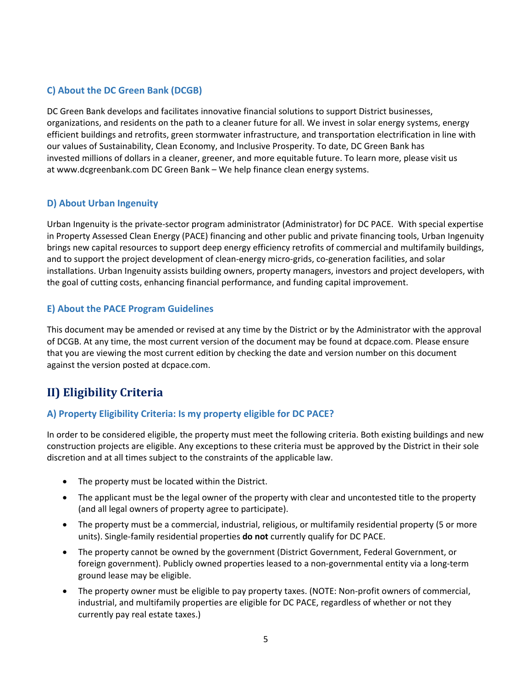### <span id="page-4-1"></span><span id="page-4-0"></span>**C) About the DC Green Bank (DCGB)**

DC Green Bank develops and facilitates innovative financial solutions to support District businesses, organizations, and residents on the path to a cleaner future for all. We invest in solar energy systems, energy efficient buildings and retrofits, green stormwater infrastructure, and transportation electrification in line with our values of Sustainability, Clean Economy, and Inclusive Prosperity. To date, DC Green Bank has invested millions of dollars in a cleaner, greener, and more equitable future. To learn more, please visit us at [www.dcgreenbank.com](http://www.dcgreenbank.com/) DC Green Bank – We help finance clean energy systems.

### **D) About Urban Ingenuity**

Urban Ingenuity is the private-sector program administrator (Administrator) for DC PACE. With special expertise in Property Assessed Clean Energy (PACE) financing and other public and private financing tools, Urban Ingenuity brings new capital resources to support deep energy efficiency retrofits of commercial and multifamily buildings, and to support the project development of clean-energy micro-grids, co-generation facilities, and solar installations. Urban Ingenuity assists building owners, property managers, investors and project developers, with the goal of cutting costs, enhancing financial performance, and funding capital improvement.

#### <span id="page-4-2"></span>**E) About the PACE Program Guidelines**

This document may be amended or revised at any time by the District or by the Administrator with the approval of DCGB. At any time, the most current version of the document may be found at dcpace.com. Please ensure that you are viewing the most current edition by checking the date and version number on this document against the version posted at dcpace.com.

# <span id="page-4-3"></span>**II) Eligibility Criteria**

### <span id="page-4-4"></span>**A) Property Eligibility Criteria: Is my property eligible for DC PACE?**

In order to be considered eligible, the property must meet the following criteria. Both existing buildings and new construction projects are eligible. Any exceptions to these criteria must be approved by the District in their sole discretion and at all times subject to the constraints of the applicable law.

- The property must be located within the District.
- The applicant must be the legal owner of the property with clear and uncontested title to the property (and all legal owners of property agree to participate).
- The property must be a commercial, industrial, religious, or multifamily residential property (5 or more units). Single-family residential properties **do not** currently qualify for DC PACE.
- The property cannot be owned by the government (District Government, Federal Government, or foreign government). Publicly owned properties leased to a non-governmental entity via a long-term ground lease may be eligible.
- The property owner must be eligible to pay property taxes. (NOTE: Non-profit owners of commercial, industrial, and multifamily properties are eligible for DC PACE, regardless of whether or not they currently pay real estate taxes.)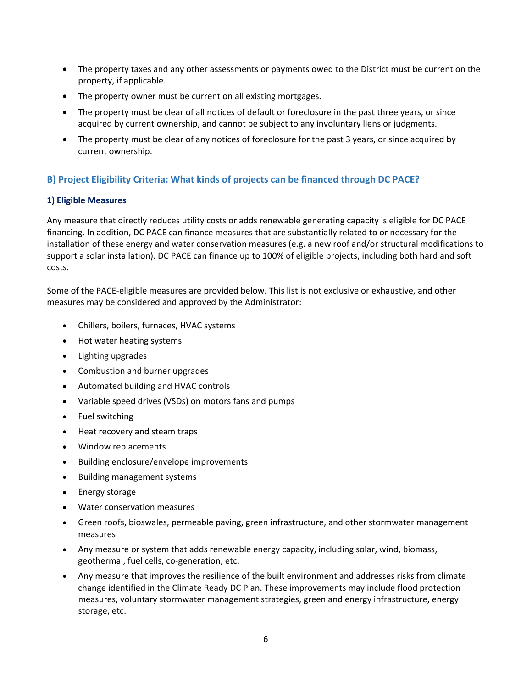- The property taxes and any other assessments or payments owed to the District must be current on the property, if applicable.
- The property owner must be current on all existing mortgages.
- The property must be clear of all notices of default or foreclosure in the past three years, or since acquired by current ownership, and cannot be subject to any involuntary liens or judgments.
- The property must be clear of any notices of foreclosure for the past 3 years, or since acquired by current ownership.

### <span id="page-5-0"></span>**B) Project Eligibility Criteria: What kinds of projects can be financed through DC PACE?**

#### **1) Eligible Measures**

Any measure that directly reduces utility costs or adds renewable generating capacity is eligible for DC PACE financing. In addition, DC PACE can finance measures that are substantially related to or necessary for the installation of these energy and water conservation measures (e.g. a new roof and/or structural modifications to support a solar installation). DC PACE can finance up to 100% of eligible projects, including both hard and soft costs.

Some of the PACE-eligible measures are provided below. This list is not exclusive or exhaustive, and other measures may be considered and approved by the Administrator:

- Chillers, boilers, furnaces, HVAC systems
- Hot water heating systems
- Lighting upgrades
- Combustion and burner upgrades
- Automated building and HVAC controls
- Variable speed drives (VSDs) on motors fans and pumps
- Fuel switching
- Heat recovery and steam traps
- Window replacements
- Building enclosure/envelope improvements
- Building management systems
- Energy storage
- Water conservation measures
- Green roofs, bioswales, permeable paving, green infrastructure, and other stormwater management measures
- Any measure or system that adds renewable energy capacity, including solar, wind, biomass, geothermal, fuel cells, co-generation, etc.
- Any measure that improves the resilience of the built environment and addresses risks from climate change identified in the Climate Ready DC Plan. These improvements may include flood protection measures, voluntary stormwater management strategies, green and energy infrastructure, energy storage, etc.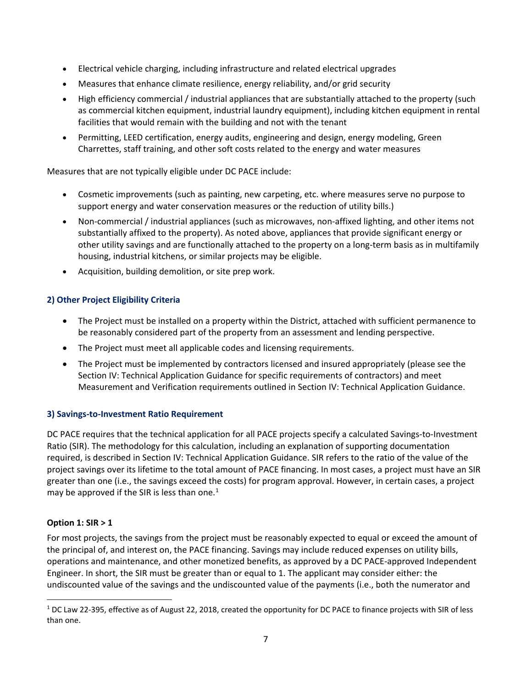- Electrical vehicle charging, including infrastructure and related electrical upgrades
- Measures that enhance climate resilience, energy reliability, and/or grid security
- High efficiency commercial / industrial appliances that are substantially attached to the property (such as commercial kitchen equipment, industrial laundry equipment), including kitchen equipment in rental facilities that would remain with the building and not with the tenant
- Permitting, LEED certification, energy audits, engineering and design, energy modeling, Green Charrettes, staff training, and other soft costs related to the energy and water measures

Measures that are not typically eligible under DC PACE include:

- Cosmetic improvements (such as painting, new carpeting, etc. where measures serve no purpose to support energy and water conservation measures or the reduction of utility bills.)
- Non-commercial / industrial appliances (such as microwaves, non-affixed lighting, and other items not substantially affixed to the property). As noted above, appliances that provide significant energy or other utility savings and are functionally attached to the property on a long-term basis as in multifamily housing, industrial kitchens, or similar projects may be eligible.
- Acquisition, building demolition, or site prep work.

#### **2) Other Project Eligibility Criteria**

- The Project must be installed on a property within the District, attached with sufficient permanence to be reasonably considered part of the property from an assessment and lending perspective.
- The Project must meet all applicable codes and licensing requirements.
- The Project must be implemented by contractors licensed and insured appropriately (please see the Section IV: Technical Application Guidance for specific requirements of contractors) and meet Measurement and Verification requirements outlined in Section IV: Technical Application Guidance.

#### **3) Savings-to-Investment Ratio Requirement**

DC PACE requires that the technical application for all PACE projects specify a calculated Savings-to-Investment Ratio (SIR). The methodology for this calculation, including an explanation of supporting documentation required, is described in Section IV: Technical Application Guidance. SIR refers to the ratio of the value of the project savings over its lifetime to the total amount of PACE financing. In most cases, a project must have an SIR greater than one (i.e., the savings exceed the costs) for program approval. However, in certain cases, a project may be approved if the SIR is less than one.<sup>[1](#page-6-0)</sup>

#### **Option 1: SIR > 1**

For most projects, the savings from the project must be reasonably expected to equal or exceed the amount of the principal of, and interest on, the PACE financing. Savings may include reduced expenses on utility bills, operations and maintenance, and other monetized benefits, as approved by a DC PACE-approved Independent Engineer. In short, the SIR must be greater than or equal to 1. The applicant may consider either: the undiscounted value of the savings and the undiscounted value of the payments (i.e., both the numerator and

<span id="page-6-0"></span><sup>1</sup> DC Law 22-395, effective as of August 22, 2018, created the opportunity for DC PACE to finance projects with SIR of less than one.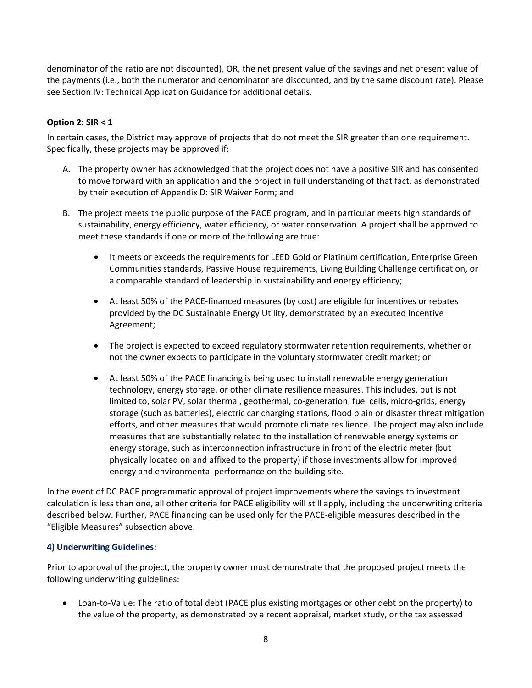denominator of the ratio are not discounted), OR, the net present value of the savings and net present value of the payments (i.e., both the numerator and denominator are discounted, and by the same discount rate). Please see Section IV: Technical Application Guidance for additional details.

#### **Option 2: SIR < 1**

In certain cases, the District may approve of projects that do not meet the SIR greater than one requirement. Specifically, these projects may be approved if:

- A. The property owner has acknowledged that the project does not have a positive SIR and has consented to move forward with an application and the project in full understanding of that fact, as demonstrated by their execution of Appendix D: SIR Waiver Form; and
- B. The project meets the public purpose of the PACE program, and in particular meets high standards of sustainability, energy efficiency, water efficiency, or water conservation. A project shall be approved to meet these standards if one or more of the following are true:
	- It meets or exceeds the requirements for LEED Gold or Platinum certification, Enterprise Green Communities standards, Passive House requirements, Living Building Challenge certification, or a comparable standard of leadership in sustainability and energy efficiency;
	- At least 50% of the PACE-financed measures (by cost) are eligible for incentives or rebates provided by the DC Sustainable Energy Utility, demonstrated by an executed Incentive Agreement;
	- The project is expected to exceed regulatory stormwater retention requirements, whether or not the owner expects to participate in the voluntary stormwater credit market; or
	- At least 50% of the PACE financing is being used to install renewable energy generation technology, energy storage, or other climate resilience measures. This includes, but is not limited to, solar PV, solar thermal, geothermal, co-generation, fuel cells, micro-grids, energy storage (such as batteries), electric car charging stations, flood plain or disaster threat mitigation efforts, and other measures that would promote climate resilience. The project may also include measures that are substantially related to the installation of renewable energy systems or energy storage, such as interconnection infrastructure in front of the electric meter (but physically located on and affixed to the property) if those investments allow for improved energy and environmental performance on the building site.

In the event of DC PACE programmatic approval of project improvements where the savings to investment calculation is less than one, all other criteria for PACE eligibility will still apply, including the underwriting criteria described below. Further, PACE financing can be used only for the PACE-eligible measures described in the "Eligible Measures" subsection above.

#### **4) Underwriting Guidelines:**

Prior to approval of the project, the property owner must demonstrate that the proposed project meets the following underwriting guidelines:

• Loan-to-Value: The ratio of total debt (PACE plus existing mortgages or other debt on the property) to the value of the property, as demonstrated by a recent appraisal, market study, or the tax assessed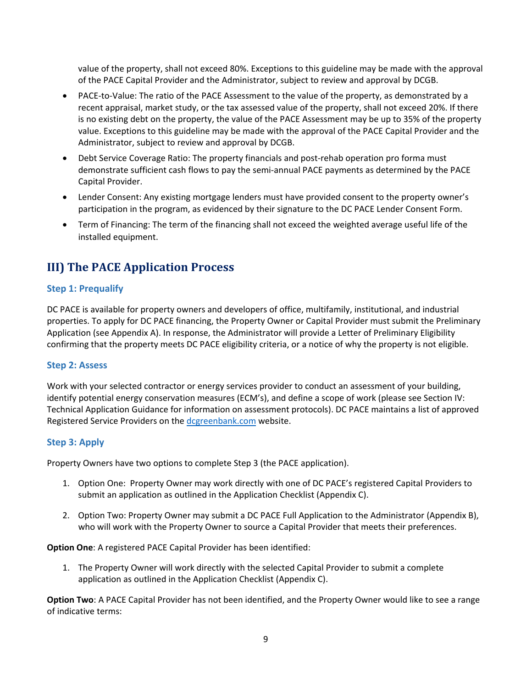value of the property, shall not exceed 80%. Exceptions to this guideline may be made with the approval of the PACE Capital Provider and the Administrator, subject to review and approval by DCGB.

- PACE-to-Value: The ratio of the PACE Assessment to the value of the property, as demonstrated by a recent appraisal, market study, or the tax assessed value of the property, shall not exceed 20%. If there is no existing debt on the property, the value of the PACE Assessment may be up to 35% of the property value. Exceptions to this guideline may be made with the approval of the PACE Capital Provider and the Administrator, subject to review and approval by DCGB.
- Debt Service Coverage Ratio: The property financials and post-rehab operation pro forma must demonstrate sufficient cash flows to pay the semi-annual PACE payments as determined by the PACE Capital Provider.
- Lender Consent: Any existing mortgage lenders must have provided consent to the property owner's participation in the program, as evidenced by their signature to the DC PACE Lender Consent Form.
- Term of Financing: The term of the financing shall not exceed the weighted average useful life of the installed equipment.

# <span id="page-8-0"></span>**III) The PACE Application Process**

### <span id="page-8-1"></span>**Step 1: Prequalify**

DC PACE is available for property owners and developers of office, multifamily, institutional, and industrial properties. To apply for DC PACE financing, the Property Owner or Capital Provider must submit the Preliminary Application (see Appendix A). In response, the Administrator will provide a Letter of Preliminary Eligibility confirming that the property meets DC PACE eligibility criteria, or a notice of why the property is not eligible.

#### <span id="page-8-2"></span>**Step 2: Assess**

Work with your selected contractor or energy services provider to conduct an assessment of your building, identify potential energy conservation measures (ECM's), and define a scope of work (please see Section IV: Technical Application Guidance for information on assessment protocols). DC PACE maintains a list of approved Registered Service Providers on the [dcgreenbank.com](https://dcgreenbank.com/product/dc-pace/) website.

#### <span id="page-8-3"></span>**Step 3: Apply**

Property Owners have two options to complete Step 3 (the PACE application).

- 1. Option One: Property Owner may work directly with one of DC PACE's registered Capital Providers to submit an application as outlined in the Application Checklist (Appendix C).
- 2. Option Two: Property Owner may submit a DC PACE Full Application to the Administrator (Appendix B), who will work with the Property Owner to source a Capital Provider that meets their preferences.

**Option One**: A registered PACE Capital Provider has been identified:

1. The Property Owner will work directly with the selected Capital Provider to submit a complete application as outlined in the Application Checklist (Appendix C).

**Option Two**: A PACE Capital Provider has not been identified, and the Property Owner would like to see a range of indicative terms: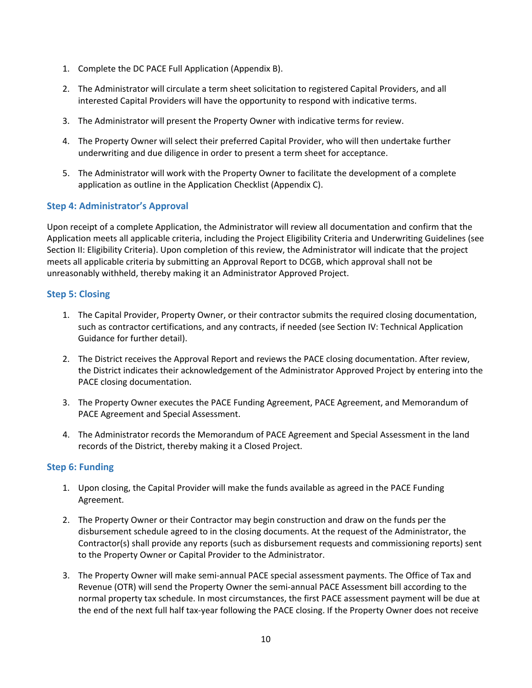- 1. Complete the DC PACE Full Application (Appendix B).
- 2. The Administrator will circulate a term sheet solicitation to registered Capital Providers, and all interested Capital Providers will have the opportunity to respond with indicative terms.
- 3. The Administrator will present the Property Owner with indicative terms for review.
- 4. The Property Owner will select their preferred Capital Provider, who will then undertake further underwriting and due diligence in order to present a term sheet for acceptance.
- 5. The Administrator will work with the Property Owner to facilitate the development of a complete application as outline in the Application Checklist (Appendix C).

#### <span id="page-9-0"></span>**Step 4: Administrator's Approval**

Upon receipt of a complete Application, the Administrator will review all documentation and confirm that the Application meets all applicable criteria, including the Project Eligibility Criteria and Underwriting Guidelines (see Section II: Eligibility Criteria). Upon completion of this review, the Administrator will indicate that the project meets all applicable criteria by submitting an Approval Report to DCGB, which approval shall not be unreasonably withheld, thereby making it an Administrator Approved Project.

#### <span id="page-9-1"></span>**Step 5: Closing**

- 1. The Capital Provider, Property Owner, or their contractor submits the required closing documentation, such as contractor certifications, and any contracts, if needed (see Section IV: Technical Application Guidance for further detail).
- 2. The District receives the Approval Report and reviews the PACE closing documentation. After review, the District indicates their acknowledgement of the Administrator Approved Project by entering into the PACE closing documentation.
- 3. The Property Owner executes the PACE Funding Agreement, PACE Agreement, and Memorandum of PACE Agreement and Special Assessment.
- 4. The Administrator records the Memorandum of PACE Agreement and Special Assessment in the land records of the District, thereby making it a Closed Project.

#### <span id="page-9-2"></span>**Step 6: Funding**

- 1. Upon closing, the Capital Provider will make the funds available as agreed in the PACE Funding Agreement.
- 2. The Property Owner or their Contractor may begin construction and draw on the funds per the disbursement schedule agreed to in the closing documents. At the request of the Administrator, the Contractor(s) shall provide any reports (such as disbursement requests and commissioning reports) sent to the Property Owner or Capital Provider to the Administrator.
- 3. The Property Owner will make semi-annual PACE special assessment payments. The Office of Tax and Revenue (OTR) will send the Property Owner the semi-annual PACE Assessment bill according to the normal property tax schedule. In most circumstances, the first PACE assessment payment will be due at the end of the next full half tax-year following the PACE closing. If the Property Owner does not receive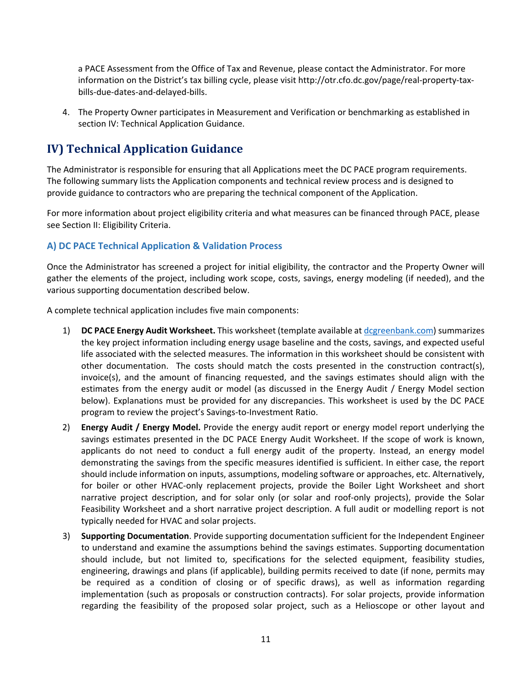a PACE Assessment from the Office of Tax and Revenue, please contact the Administrator. For more information on the District's tax billing cycle, please visit http://otr.cfo.dc.gov/page/real-property-taxbills-due-dates-and-delayed-bills.

4. The Property Owner participates in Measurement and Verification or benchmarking as established in section IV: Technical Application Guidance.

# <span id="page-10-0"></span>**IV) Technical Application Guidance**

The Administrator is responsible for ensuring that all Applications meet the DC PACE program requirements. The following summary lists the Application components and technical review process and is designed to provide guidance to contractors who are preparing the technical component of the Application.

For more information about project eligibility criteria and what measures can be financed through PACE, please see Section II: Eligibility Criteria.

#### <span id="page-10-1"></span>**A) DC PACE Technical Application & Validation Process**

Once the Administrator has screened a project for initial eligibility, the contractor and the Property Owner will gather the elements of the project, including work scope, costs, savings, energy modeling (if needed), and the various supporting documentation described below.

A complete technical application includes five main components:

- 1) **DC PACE Energy Audit Worksheet.** This worksheet (template available at [dcgreenbank.com\)](https://dcgreenbank.com/product/dc-pace/) summarizes the key project information including energy usage baseline and the costs, savings, and expected useful life associated with the selected measures. The information in this worksheet should be consistent with other documentation. The costs should match the costs presented in the construction contract(s), invoice(s), and the amount of financing requested, and the savings estimates should align with the estimates from the energy audit or model (as discussed in the Energy Audit / Energy Model section below). Explanations must be provided for any discrepancies. This worksheet is used by the DC PACE program to review the project's Savings-to-Investment Ratio.
- 2) **Energy Audit / Energy Model.** Provide the energy audit report or energy model report underlying the savings estimates presented in the DC PACE Energy Audit Worksheet. If the scope of work is known, applicants do not need to conduct a full energy audit of the property. Instead, an energy model demonstrating the savings from the specific measures identified is sufficient. In either case, the report should include information on inputs, assumptions, modeling software or approaches, etc. Alternatively, for boiler or other HVAC-only replacement projects, provide the Boiler Light Worksheet and short narrative project description, and for solar only (or solar and roof-only projects), provide the Solar Feasibility Worksheet and a short narrative project description. A full audit or modelling report is not typically needed for HVAC and solar projects.
- 3) **Supporting Documentation**. Provide supporting documentation sufficient for the Independent Engineer to understand and examine the assumptions behind the savings estimates. Supporting documentation should include, but not limited to, specifications for the selected equipment, feasibility studies, engineering, drawings and plans (if applicable), building permits received to date (if none, permits may be required as a condition of closing or of specific draws), as well as information regarding implementation (such as proposals or construction contracts). For solar projects, provide information regarding the feasibility of the proposed solar project, such as a Helioscope or other layout and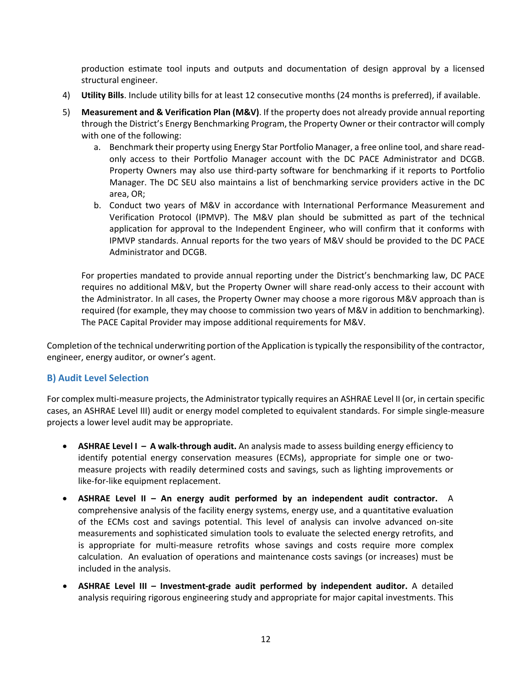production estimate tool inputs and outputs and documentation of design approval by a licensed structural engineer.

- 4) **Utility Bills**. Include utility bills for at least 12 consecutive months (24 months is preferred), if available.
- 5) **Measurement and & Verification Plan (M&V)**. If the property does not already provide annual reporting through the District's Energy Benchmarking Program, the Property Owner or their contractor will comply with one of the following:
	- a. Benchmark their property using Energy Star Portfolio Manager, a free online tool, and share readonly access to their Portfolio Manager account with the DC PACE Administrator and DCGB. Property Owners may also use third-party software for benchmarking if it reports to Portfolio Manager. The DC SEU also maintains a list of benchmarking service providers active in the DC area, OR;
	- b. Conduct two years of M&V in accordance with International Performance Measurement and Verification Protocol (IPMVP). The M&V plan should be submitted as part of the technical application for approval to the Independent Engineer, who will confirm that it conforms with IPMVP standards. Annual reports for the two years of M&V should be provided to the DC PACE Administrator and DCGB.

For properties mandated to provide annual reporting under the District's benchmarking law, DC PACE requires no additional M&V, but the Property Owner will share read-only access to their account with the Administrator. In all cases, the Property Owner may choose a more rigorous M&V approach than is required (for example, they may choose to commission two years of M&V in addition to benchmarking). The PACE Capital Provider may impose additional requirements for M&V.

Completion of the technical underwriting portion of the Application istypically the responsibility of the contractor, engineer, energy auditor, or owner's agent.

#### <span id="page-11-0"></span>**B) Audit Level Selection**

For complex multi-measure projects, the Administrator typically requires an ASHRAE Level II (or, in certain specific cases, an ASHRAE Level III) audit or energy model completed to equivalent standards. For simple single-measure projects a lower level audit may be appropriate.

- **ASHRAE Level I – A walk-through audit.** An analysis made to assess building energy efficiency to identify potential energy conservation measures (ECMs), appropriate for simple one or twomeasure projects with readily determined costs and savings, such as lighting improvements or like-for-like equipment replacement.
- **ASHRAE Level II – An energy audit performed by an independent audit contractor.** A comprehensive analysis of the facility energy systems, energy use, and a quantitative evaluation of the ECMs cost and savings potential. This level of analysis can involve advanced on-site measurements and sophisticated simulation tools to evaluate the selected energy retrofits, and is appropriate for multi-measure retrofits whose savings and costs require more complex calculation. An evaluation of operations and maintenance costs savings (or increases) must be included in the analysis.
- **ASHRAE Level III – Investment-grade audit performed by independent auditor.** A detailed analysis requiring rigorous engineering study and appropriate for major capital investments. This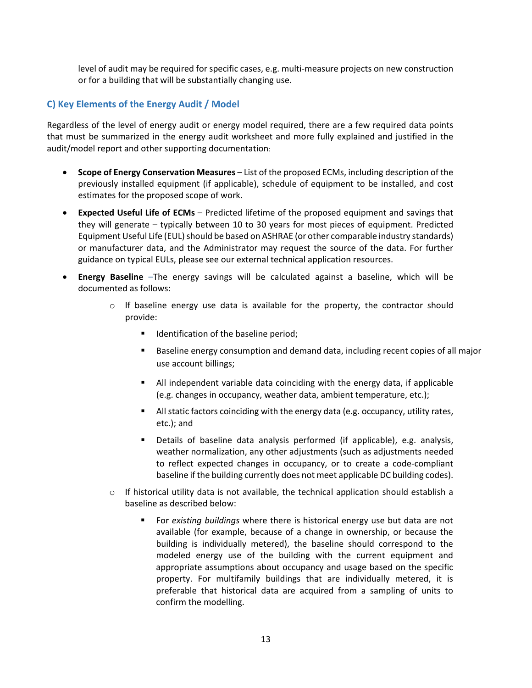<span id="page-12-0"></span>level of audit may be required for specific cases, e.g. multi-measure projects on new construction or for a building that will be substantially changing use.

#### **C) Key Elements of the Energy Audit / Model**

Regardless of the level of energy audit or energy model required, there are a few required data points that must be summarized in the energy audit worksheet and more fully explained and justified in the audit/model report and other supporting documentation:

- **Scope of Energy Conservation Measures** List of the proposed ECMs, including description of the previously installed equipment (if applicable), schedule of equipment to be installed, and cost estimates for the proposed scope of work.
- **Expected Useful Life of ECMs** Predicted lifetime of the proposed equipment and savings that they will generate – typically between 10 to 30 years for most pieces of equipment. Predicted Equipment Useful Life (EUL) should be based on ASHRAE (or other comparable industry standards) or manufacturer data, and the Administrator may request the source of the data. For further guidance on typical EULs, please see our external technical application resources.
- **Energy Baseline** –The energy savings will be calculated against a baseline, which will be documented as follows:
	- $\circ$  If baseline energy use data is available for the property, the contractor should provide:
		- Identification of the baseline period;
		- Baseline energy consumption and demand data, including recent copies of all major use account billings;
		- All independent variable data coinciding with the energy data, if applicable (e.g. changes in occupancy, weather data, ambient temperature, etc.);
		- All static factors coinciding with the energy data (e.g. occupancy, utility rates, etc.); and
		- Details of baseline data analysis performed (if applicable), e.g. analysis, weather normalization, any other adjustments (such as adjustments needed to reflect expected changes in occupancy, or to create a code-compliant baseline if the building currently does not meet applicable DC building codes).
	- $\circ$  If historical utility data is not available, the technical application should establish a baseline as described below:
		- For *existing buildings* where there is historical energy use but data are not available (for example, because of a change in ownership, or because the building is individually metered), the baseline should correspond to the modeled energy use of the building with the current equipment and appropriate assumptions about occupancy and usage based on the specific property. For multifamily buildings that are individually metered, it is preferable that historical data are acquired from a sampling of units to confirm the modelling.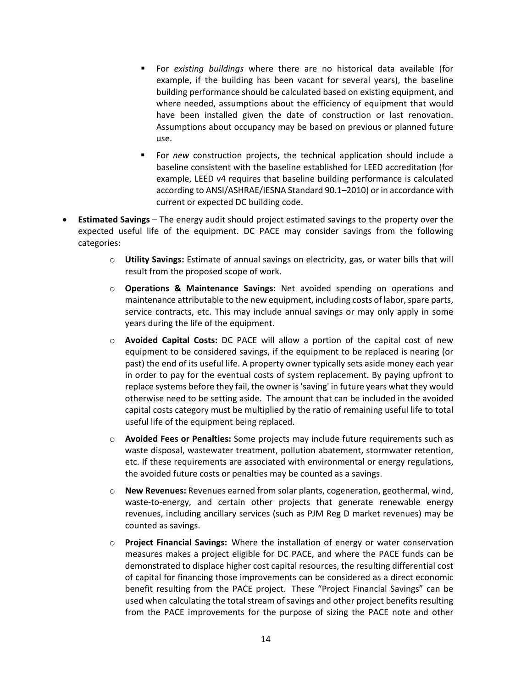- For *existing buildings* where there are no historical data available (for example, if the building has been vacant for several years), the baseline building performance should be calculated based on existing equipment, and where needed, assumptions about the efficiency of equipment that would have been installed given the date of construction or last renovation. Assumptions about occupancy may be based on previous or planned future use.
- For *new* construction projects, the technical application should include a baseline consistent with the baseline established for LEED accreditation (for example, LEED v4 requires that baseline building performance is calculated according to ANSI/ASHRAE/IESNA Standard 90.1–2010) or in accordance with current or expected DC building code.
- **Estimated Savings** The energy audit should project estimated savings to the property over the expected useful life of the equipment. DC PACE may consider savings from the following categories:
	- o **Utility Savings:** Estimate of annual savings on electricity, gas, or water bills that will result from the proposed scope of work.
	- o **Operations & Maintenance Savings:** Net avoided spending on operations and maintenance attributable to the new equipment, including costs of labor, spare parts, service contracts, etc. This may include annual savings or may only apply in some years during the life of the equipment.
	- o **Avoided Capital Costs:** DC PACE will allow a portion of the capital cost of new equipment to be considered savings, if the equipment to be replaced is nearing (or past) the end of its useful life. A property owner typically sets aside money each year in order to pay for the eventual costs of system replacement. By paying upfront to replace systems before they fail, the owner is'saving' in future years what they would otherwise need to be setting aside. The amount that can be included in the avoided capital costs category must be multiplied by the ratio of remaining useful life to total useful life of the equipment being replaced.
	- o **Avoided Fees or Penalties:** Some projects may include future requirements such as waste disposal, wastewater treatment, pollution abatement, stormwater retention, etc. If these requirements are associated with environmental or energy regulations, the avoided future costs or penalties may be counted as a savings.
	- o **New Revenues:** Revenues earned from solar plants, cogeneration, geothermal, wind, waste-to-energy, and certain other projects that generate renewable energy revenues, including ancillary services (such as PJM Reg D market revenues) may be counted as savings.
	- o **Project Financial Savings:** Where the installation of energy or water conservation measures makes a project eligible for DC PACE, and where the PACE funds can be demonstrated to displace higher cost capital resources, the resulting differential cost of capital for financing those improvements can be considered as a direct economic benefit resulting from the PACE project. These "Project Financial Savings" can be used when calculating the total stream of savings and other project benefits resulting from the PACE improvements for the purpose of sizing the PACE note and other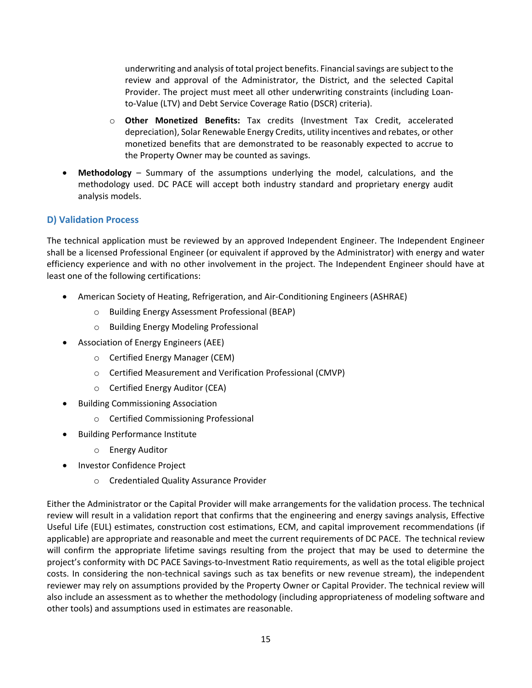underwriting and analysis of total project benefits. Financialsavings are subject to the review and approval of the Administrator, the District, and the selected Capital Provider. The project must meet all other underwriting constraints (including Loanto-Value (LTV) and Debt Service Coverage Ratio (DSCR) criteria).

- o **Other Monetized Benefits:** Tax credits (Investment Tax Credit, accelerated depreciation), Solar Renewable Energy Credits, utility incentives and rebates, or other monetized benefits that are demonstrated to be reasonably expected to accrue to the Property Owner may be counted as savings.
- **Methodology** Summary of the assumptions underlying the model, calculations, and the methodology used. DC PACE will accept both industry standard and proprietary energy audit analysis models.

#### <span id="page-14-0"></span>**D) Validation Process**

The technical application must be reviewed by an approved Independent Engineer. The Independent Engineer shall be a licensed Professional Engineer (or equivalent if approved by the Administrator) with energy and water efficiency experience and with no other involvement in the project. The Independent Engineer should have at least one of the following certifications:

- American Society of Heating, Refrigeration, and Air-Conditioning Engineers (ASHRAE)
	- o Building Energy Assessment Professional (BEAP)
	- o Building Energy Modeling Professional
- Association of Energy Engineers (AEE)
	- o Certified Energy Manager (CEM)
	- o Certified Measurement and Verification Professional (CMVP)
	- o Certified Energy Auditor (CEA)
- Building Commissioning Association
	- o Certified Commissioning Professional
- Building Performance Institute
	- o Energy Auditor
- Investor Confidence Project
	- o Credentialed Quality Assurance Provider

<span id="page-14-1"></span>Either the Administrator or the Capital Provider will make arrangements for the validation process. The technical review will result in a validation report that confirms that the engineering and energy savings analysis, Effective Useful Life (EUL) estimates, construction cost estimations, ECM, and capital improvement recommendations (if applicable) are appropriate and reasonable and meet the current requirements of DC PACE. The technical review will confirm the appropriate lifetime savings resulting from the project that may be used to determine the project's conformity with DC PACE Savings-to-Investment Ratio requirements, as well as the total eligible project costs. In considering the non-technical savings such as tax benefits or new revenue stream), the independent reviewer may rely on assumptions provided by the Property Owner or Capital Provider. The technical review will also include an assessment as to whether the methodology (including appropriateness of modeling software and other tools) and assumptions used in estimates are reasonable.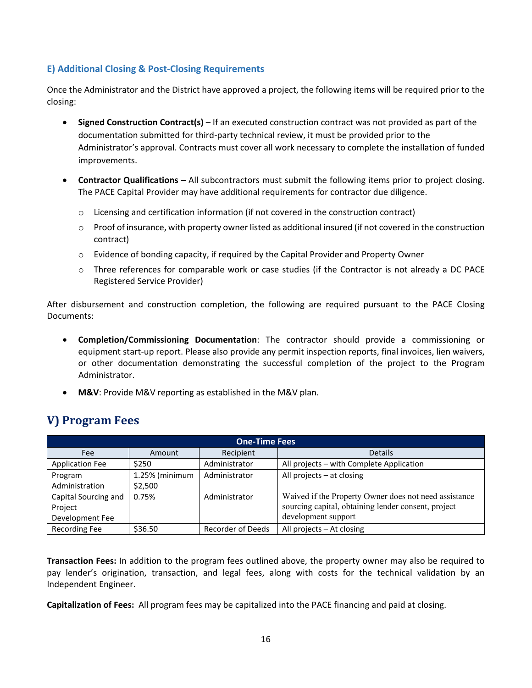### **E) Additional Closing & Post-Closing Requirements**

Once the Administrator and the District have approved a project, the following items will be required prior to the closing:

- **Signed Construction Contract(s)** If an executed construction contract was not provided as part of the documentation submitted for third-party technical review, it must be provided prior to the Administrator's approval. Contracts must cover all work necessary to complete the installation of funded improvements.
- **Contractor Qualifications –** All subcontractors must submit the following items prior to project closing. The PACE Capital Provider may have additional requirements for contractor due diligence.
	- $\circ$  Licensing and certification information (if not covered in the construction contract)
	- $\circ$  Proof of insurance, with property owner listed as additional insured (if not covered in the construction contract)
	- $\circ$  Evidence of bonding capacity, if required by the Capital Provider and Property Owner
	- $\circ$  Three references for comparable work or case studies (if the Contractor is not already a DC PACE Registered Service Provider)

After disbursement and construction completion, the following are required pursuant to the PACE Closing Documents:

- **Completion/Commissioning Documentation**: The contractor should provide a commissioning or equipment start-up report. Please also provide any permit inspection reports, final invoices, lien waivers, or other documentation demonstrating the successful completion of the project to the Program Administrator.
- **M&V**: Provide M&V reporting as established in the M&V plan.

## <span id="page-15-0"></span>**V) Program Fees**

| <b>One-Time Fees</b>   |                |                          |                                                       |
|------------------------|----------------|--------------------------|-------------------------------------------------------|
| Fee                    | Amount         | Recipient                | <b>Details</b>                                        |
| <b>Application Fee</b> | \$250          | Administrator            | All projects - with Complete Application              |
| Program                | 1.25% (minimum | Administrator            | All projects $-$ at closing                           |
| Administration         | \$2,500        |                          |                                                       |
| Capital Sourcing and   | 0.75%          | Administrator            | Waived if the Property Owner does not need assistance |
| Project                |                |                          | sourcing capital, obtaining lender consent, project   |
| Development Fee        |                |                          | development support                                   |
| <b>Recording Fee</b>   | \$36.50        | <b>Recorder of Deeds</b> | All projects $-$ At closing                           |

**Transaction Fees:** In addition to the program fees outlined above, the property owner may also be required to pay lender's origination, transaction, and legal fees, along with costs for the technical validation by an Independent Engineer.

**Capitalization of Fees:** All program fees may be capitalized into the PACE financing and paid at closing.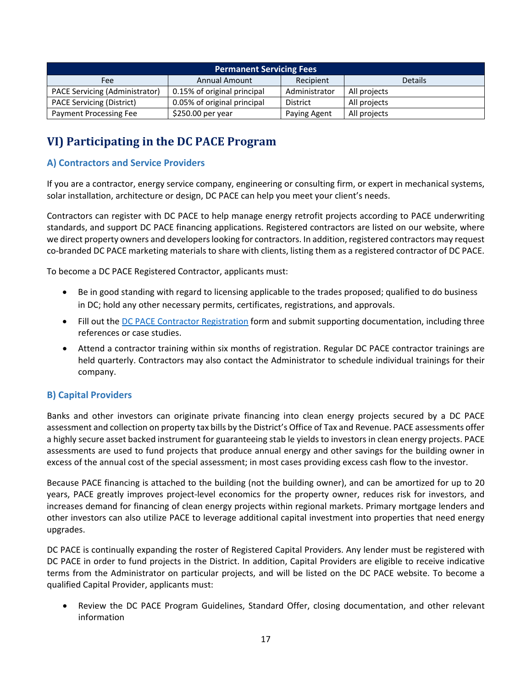| <b>Permanent Servicing Fees</b>  |                             |               |                |
|----------------------------------|-----------------------------|---------------|----------------|
| Fee                              | <b>Annual Amount</b>        | Recipient     | <b>Details</b> |
| PACE Servicing (Administrator)   | 0.15% of original principal | Administrator | All projects   |
| <b>PACE Servicing (District)</b> | 0.05% of original principal | District      | All projects   |
| Payment Processing Fee           | $$250.00$ per year          | Paying Agent  | All projects   |

# <span id="page-16-0"></span>**VI) Participating in the DC PACE Program**

### <span id="page-16-1"></span>**A) Contractors and Service Providers**

If you are a contractor, energy service company, engineering or consulting firm, or expert in mechanical systems, solar installation, architecture or design, DC PACE can help you meet your client's needs.

Contractors can register with DC PACE to help manage energy retrofit projects according to PACE underwriting standards, and support DC PACE financing applications. Registered contractors are listed on our website, where we direct property owners and developers looking for contractors. In addition, registered contractors may request co-branded DC PACE marketing materials to share with clients, listing them as a registered contractor of DC PACE.

To become a DC PACE Registered Contractor, applicants must:

- Be in good standing with regard to licensing applicable to the trades proposed; qualified to do business in DC; hold any other necessary permits, certificates, registrations, and approvals.
- Fill out the DC PACE Contractor [Registration](https://dcgreenbank.com/pace/resources/) form and submit supporting documentation, including three references or case studies.
- Attend a contractor training within six months of registration. Regular DC PACE contractor trainings are held quarterly. Contractors may also contact the Administrator to schedule individual trainings for their company.

#### <span id="page-16-2"></span>**B) Capital Providers**

Banks and other investors can originate private financing into clean energy projects secured by a DC PACE assessment and collection on property tax bills by the District's Office of Tax and Revenue. PACE assessments offer a highly secure asset backed instrument for guaranteeing stab le yields to investors in clean energy projects. PACE assessments are used to fund projects that produce annual energy and other savings for the building owner in excess of the annual cost of the special assessment; in most cases providing excess cash flow to the investor.

Because PACE financing is attached to the building (not the building owner), and can be amortized for up to 20 years, PACE greatly improves project-level economics for the property owner, reduces risk for investors, and increases demand for financing of clean energy projects within regional markets. Primary mortgage lenders and other investors can also utilize PACE to leverage additional capital investment into properties that need energy upgrades.

DC PACE is continually expanding the roster of Registered Capital Providers. Any lender must be registered with DC PACE in order to fund projects in the District. In addition, Capital Providers are eligible to receive indicative terms from the Administrator on particular projects, and will be listed on the DC PACE website. To become a qualified Capital Provider, applicants must:

• Review the DC PACE Program Guidelines, Standard Offer, closing documentation, and other relevant information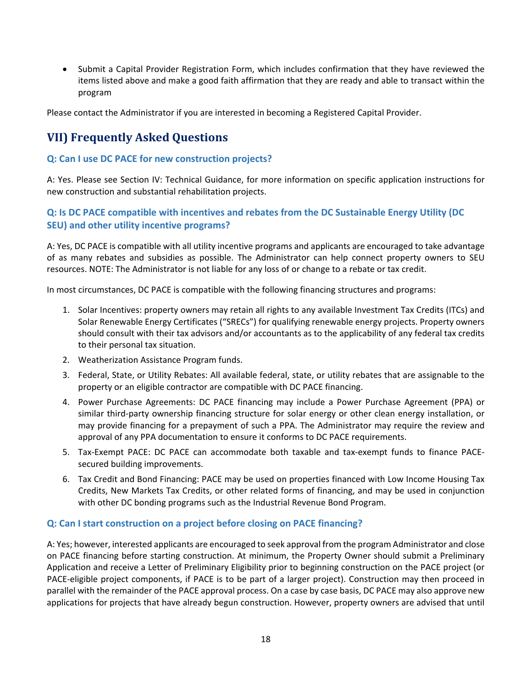• Submit a Capital Provider Registration Form, which includes confirmation that they have reviewed the items listed above and make a good faith affirmation that they are ready and able to transact within the program

Please contact the Administrator if you are interested in becoming a Registered Capital Provider.

# <span id="page-17-0"></span>**VII) Frequently Asked Questions**

#### **Q: Can I use DC PACE for new construction projects?**

A: Yes. Please see Section IV: Technical Guidance, for more information on specific application instructions for new construction and substantial rehabilitation projects.

### **Q: Is DC PACE compatible with incentives and rebates from the DC Sustainable Energy Utility (DC SEU) and other utility incentive programs?**

A: Yes, DC PACE is compatible with all utility incentive programs and applicants are encouraged to take advantage of as many rebates and subsidies as possible. The Administrator can help connect property owners to SEU resources. NOTE: The Administrator is not liable for any loss of or change to a rebate or tax credit.

In most circumstances, DC PACE is compatible with the following financing structures and programs:

- 1. Solar Incentives: property owners may retain all rights to any available Investment Tax Credits (ITCs) and Solar Renewable Energy Certificates ("SRECs") for qualifying renewable energy projects. Property owners should consult with their tax advisors and/or accountants as to the applicability of any federal tax credits to their personal tax situation.
- 2. Weatherization Assistance Program funds.
- 3. Federal, State, or Utility Rebates: All available federal, state, or utility rebates that are assignable to the property or an eligible contractor are compatible with DC PACE financing.
- 4. Power Purchase Agreements: DC PACE financing may include a Power Purchase Agreement (PPA) or similar third-party ownership financing structure for solar energy or other clean energy installation, or may provide financing for a prepayment of such a PPA. The Administrator may require the review and approval of any PPA documentation to ensure it conforms to DC PACE requirements.
- 5. Tax-Exempt PACE: DC PACE can accommodate both taxable and tax-exempt funds to finance PACEsecured building improvements.
- 6. Tax Credit and Bond Financing: PACE may be used on properties financed with Low Income Housing Tax Credits, New Markets Tax Credits, or other related forms of financing, and may be used in conjunction with other DC bonding programs such as the Industrial Revenue Bond Program.

#### **Q: Can I start construction on a project before closing on PACE financing?**

A: Yes; however, interested applicants are encouraged to seek approval from the program Administrator and close on PACE financing before starting construction. At minimum, the Property Owner should submit a Preliminary Application and receive a Letter of Preliminary Eligibility prior to beginning construction on the PACE project (or PACE-eligible project components, if PACE is to be part of a larger project). Construction may then proceed in parallel with the remainder of the PACE approval process. On a case by case basis, DC PACE may also approve new applications for projects that have already begun construction. However, property owners are advised that until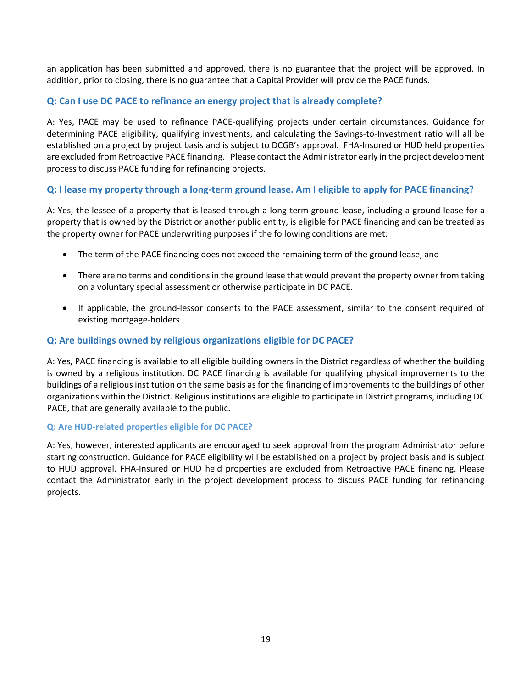an application has been submitted and approved, there is no guarantee that the project will be approved. In addition, prior to closing, there is no guarantee that a Capital Provider will provide the PACE funds.

#### **Q: Can I use DC PACE to refinance an energy project that is already complete?**

A: Yes, PACE may be used to refinance PACE-qualifying projects under certain circumstances. Guidance for determining PACE eligibility, qualifying investments, and calculating the Savings-to-Investment ratio will all be established on a project by project basis and is subject to DCGB's approval. FHA-Insured or HUD held properties are excluded from Retroactive PACE financing. Please contact the Administrator early in the project development process to discuss PACE funding for refinancing projects.

#### Q: I lease my property through a long-term ground lease. Am I eligible to apply for PACE financing?

A: Yes, the lessee of a property that is leased through a long-term ground lease, including a ground lease for a property that is owned by the District or another public entity, is eligible for PACE financing and can be treated as the property owner for PACE underwriting purposes if the following conditions are met:

- The term of the PACE financing does not exceed the remaining term of the ground lease, and
- There are no terms and conditions in the ground lease that would prevent the property owner from taking on a voluntary special assessment or otherwise participate in DC PACE.
- If applicable, the ground-lessor consents to the PACE assessment, similar to the consent required of existing mortgage-holders

#### **Q: Are buildings owned by religious organizations eligible for DC PACE?**

A: Yes, PACE financing is available to all eligible building owners in the District regardless of whether the building is owned by a religious institution. DC PACE financing is available for qualifying physical improvements to the buildings of a religious institution on the same basis as for the financing of improvements to the buildings of other organizations within the District. Religious institutions are eligible to participate in District programs, including DC PACE, that are generally available to the public.

#### **Q: Are HUD-related properties eligible for DC PACE?**

A: Yes, however, interested applicants are encouraged to seek approval from the program Administrator before starting construction. Guidance for PACE eligibility will be established on a project by project basis and is subject to HUD approval. FHA-Insured or HUD held properties are excluded from Retroactive PACE financing. Please contact the Administrator early in the project development process to discuss PACE funding for refinancing projects.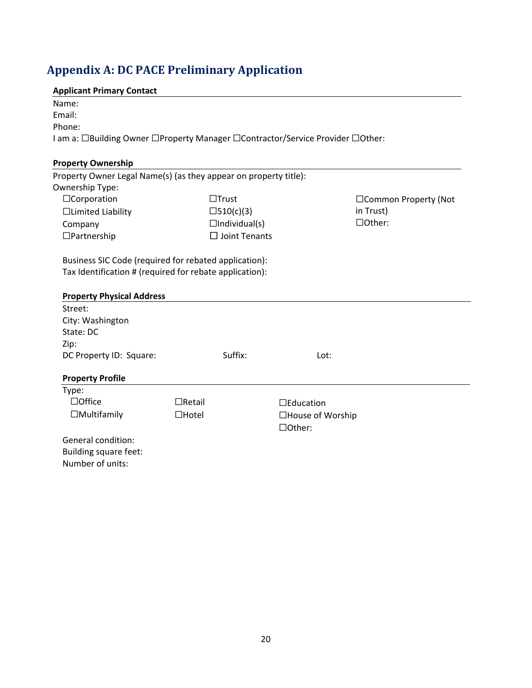# <span id="page-19-0"></span>**Appendix A: DC PACE Preliminary Application**

# **Applicant Primary Contact**

| <b>Applicant Primary Contact</b>                                               |               |                      |                              |                       |
|--------------------------------------------------------------------------------|---------------|----------------------|------------------------------|-----------------------|
| Name:                                                                          |               |                      |                              |                       |
| Email:                                                                         |               |                      |                              |                       |
| Phone:                                                                         |               |                      |                              |                       |
| I am a: □Building Owner □Property Manager □Contractor/Service Provider □Other: |               |                      |                              |                       |
| <b>Property Ownership</b>                                                      |               |                      |                              |                       |
| Property Owner Legal Name(s) (as they appear on property title):               |               |                      |                              |                       |
| Ownership Type:                                                                |               |                      |                              |                       |
| □Corporation                                                                   |               | $\Box$ Trust         |                              | □Common Property (Not |
| □Limited Liability                                                             |               | □510(c)(3)           |                              | in Trust)             |
| Company                                                                        |               | $\Box$ Individual(s) |                              | □Other:               |
| $\Box$ Partnership                                                             |               | $\Box$ Joint Tenants |                              |                       |
| Street:<br>City: Washington<br>State: DC                                       |               |                      |                              |                       |
| Zip:<br>DC Property ID: Square:                                                |               | Suffix:              | Lot:                         |                       |
|                                                                                |               |                      |                              |                       |
| <b>Property Profile</b>                                                        |               |                      |                              |                       |
| Type:                                                                          |               |                      |                              |                       |
| $\Box$ Office                                                                  | $\Box$ Retail |                      | $\square$ Education          |                       |
| $\Box$ Multifamily                                                             | $\Box$ Hotel  |                      | □House of Worship<br>□Other: |                       |
| General condition:                                                             |               |                      |                              |                       |
| <b>Building square feet:</b>                                                   |               |                      |                              |                       |
| Number of units:                                                               |               |                      |                              |                       |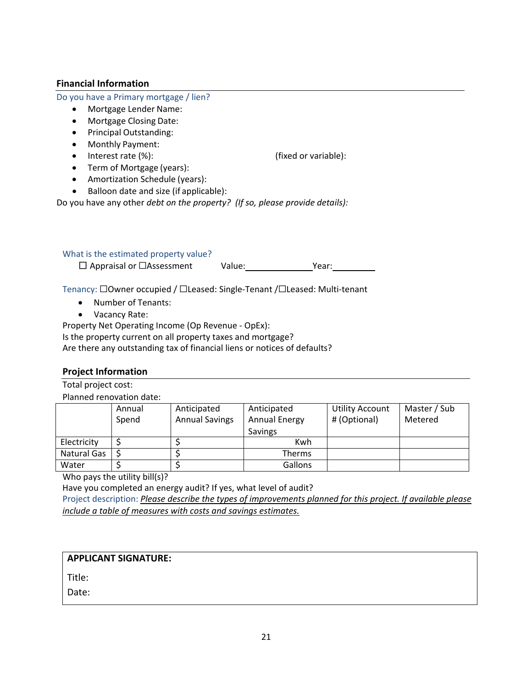#### **Financial Information**

Do you have a Primary mortgage / lien?

- Mortgage Lender Name:
- Mortgage Closing Date:
- Principal Outstanding:
- Monthly Payment:
- Interest rate (%): (fixed or variable):
- Term of Mortgage (years):

- Amortization Schedule (years):
- Balloon date and size (if applicable):

Do you have any other *debt on the property? (If so, please provide details):*

#### What is the estimated property value?

□ Appraisal or ☐Assessment Value: Year:

Tenancy: □Owner occupied / □Leased: Single-Tenant /□Leased: Multi-tenant

- Number of Tenants:
- Vacancy Rate:

Property Net Operating Income (Op Revenue - OpEx):

Is the property current on all property taxes and mortgage?

Are there any outstanding tax of financial liens or notices of defaults?

#### **Project Information**

Total project cost:

Planned renovation date:

|             | Annual<br>Spend | Anticipated<br><b>Annual Savings</b> | Anticipated<br><b>Annual Energy</b><br><b>Savings</b> | <b>Utility Account</b><br># (Optional) | Master / Sub<br>Metered |
|-------------|-----------------|--------------------------------------|-------------------------------------------------------|----------------------------------------|-------------------------|
| Electricity |                 |                                      | Kwh                                                   |                                        |                         |
| Natural Gas |                 |                                      | <b>Therms</b>                                         |                                        |                         |
| Water       |                 |                                      | Gallons                                               |                                        |                         |

Who pays the utility bill(s)?

Have you completed an energy audit? If yes, what level of audit?

Project description: *Please describe the types of improvements planned for this project. If available please include a table of measures with costs and savings estimates.*

#### **APPLICANT SIGNATURE:**

Title:

Date: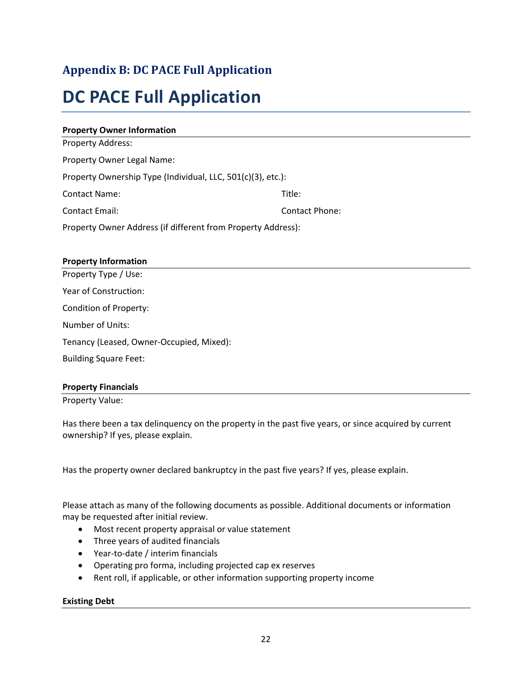# <span id="page-21-0"></span>**Appendix B: DC PACE Full Application**

# **DC PACE Full Application**

| <b>Property Owner Information</b>                            |                       |
|--------------------------------------------------------------|-----------------------|
| Property Address:                                            |                       |
| Property Owner Legal Name:                                   |                       |
| Property Ownership Type (Individual, LLC, 501(c)(3), etc.):  |                       |
| <b>Contact Name:</b>                                         | Title:                |
| <b>Contact Email:</b>                                        | <b>Contact Phone:</b> |
| Property Owner Address (if different from Property Address): |                       |
| <b>Property Information</b>                                  |                       |
| Property Type / Use:                                         |                       |

Year of Construction: Condition of Property: Number of Units: Tenancy (Leased, Owner-Occupied, Mixed): Building Square Feet:

#### **Property Financials**

Property Value:

Has there been a tax delinquency on the property in the past five years, or since acquired by current ownership? If yes, please explain.

Has the property owner declared bankruptcy in the past five years? If yes, please explain.

Please attach as many of the following documents as possible. Additional documents or information may be requested after initial review.

- Most recent property appraisal or value statement
- Three years of audited financials
- Year-to-date / interim financials
- Operating pro forma, including projected cap ex reserves
- Rent roll, if applicable, or other information supporting property income

#### **Existing Debt**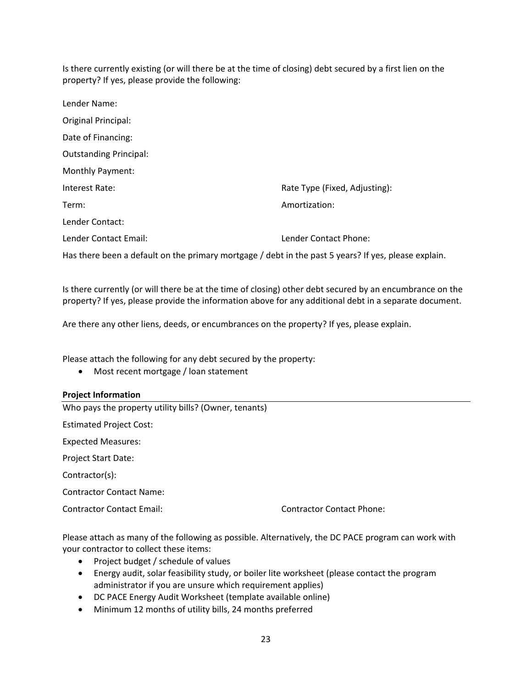Is there currently existing (or will there be at the time of closing) debt secured by a first lien on the property? If yes, please provide the following:

| Lender Name:                  |                               |
|-------------------------------|-------------------------------|
| Original Principal:           |                               |
| Date of Financing:            |                               |
| <b>Outstanding Principal:</b> |                               |
| <b>Monthly Payment:</b>       |                               |
| Interest Rate:                | Rate Type (Fixed, Adjusting): |
| Term:                         | Amortization:                 |
| Lender Contact:               |                               |
| Lender Contact Email:         | Lender Contact Phone:         |
|                               |                               |

Has there been a default on the primary mortgage / debt in the past 5 years? If yes, please explain.

Is there currently (or will there be at the time of closing) other debt secured by an encumbrance on the property? If yes, please provide the information above for any additional debt in a separate document.

Are there any other liens, deeds, or encumbrances on the property? If yes, please explain.

Please attach the following for any debt secured by the property:

• Most recent mortgage / loan statement

#### **Project Information**

Who pays the property utility bills? (Owner, tenants) Estimated Project Cost: Expected Measures: Project Start Date: Contractor(s): Contractor Contact Name: Contractor Contact Email: Contractor Contact Phone:

Please attach as many of the following as possible. Alternatively, the DC PACE program can work with your contractor to collect these items:

- Project budget / schedule of values
- Energy audit, solar feasibility study, or boiler lite worksheet (please contact the program administrator if you are unsure which requirement applies)
- DC PACE Energy Audit Worksheet (template available online)
- Minimum 12 months of utility bills, 24 months preferred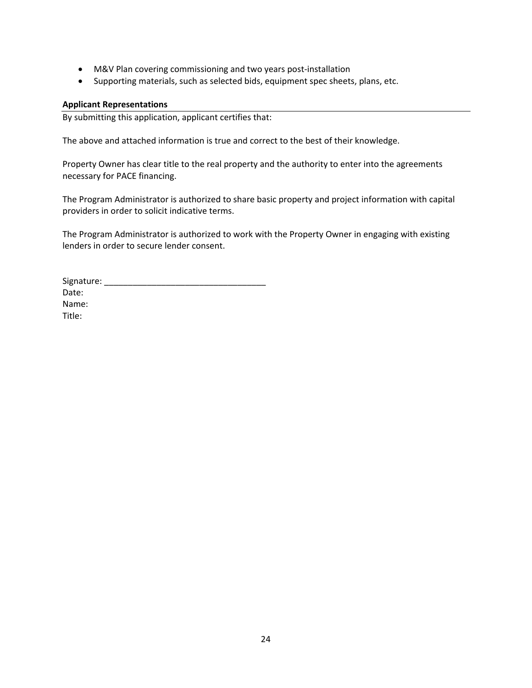- M&V Plan covering commissioning and two years post-installation
- Supporting materials, such as selected bids, equipment spec sheets, plans, etc.

#### **Applicant Representations**

By submitting this application, applicant certifies that:

The above and attached information is true and correct to the best of their knowledge.

Property Owner has clear title to the real property and the authority to enter into the agreements necessary for PACE financing.

The Program Administrator is authorized to share basic property and project information with capital providers in order to solicit indicative terms.

The Program Administrator is authorized to work with the Property Owner in engaging with existing lenders in order to secure lender consent.

Signature: \_\_\_\_\_\_\_\_\_\_\_\_\_\_\_\_\_\_\_\_\_\_\_\_\_\_\_\_\_\_\_\_\_\_ Date: Name: Title: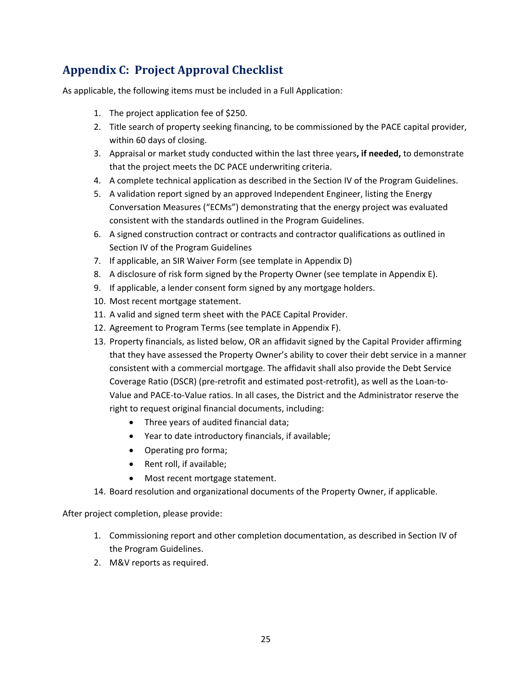# <span id="page-24-0"></span>**Appendix C: Project Approval Checklist**

As applicable, the following items must be included in a Full Application:

- 1. The project application fee of \$250.
- 2. Title search of property seeking financing, to be commissioned by the PACE capital provider, within 60 days of closing.
- 3. Appraisal or market study conducted within the last three years**, if needed,** to demonstrate that the project meets the DC PACE underwriting criteria.
- 4. A complete technical application as described in the Section IV of the Program Guidelines.
- 5. A validation report signed by an approved Independent Engineer, listing the Energy Conversation Measures ("ECMs") demonstrating that the energy project was evaluated consistent with the standards outlined in the Program Guidelines.
- 6. A signed construction contract or contracts and contractor qualifications as outlined in Section IV of the Program Guidelines
- 7. If applicable, an SIR Waiver Form (see template in Appendix D)
- 8. A disclosure of risk form signed by the Property Owner (see template in Appendix E).
- 9. If applicable, a lender consent form signed by any mortgage holders.
- 10. Most recent mortgage statement.
- 11. A valid and signed term sheet with the PACE Capital Provider.
- 12. Agreement to Program Terms (see template in Appendix F).
- 13. Property financials, as listed below, OR an affidavit signed by the Capital Provider affirming that they have assessed the Property Owner's ability to cover their debt service in a manner consistent with a commercial mortgage. The affidavit shall also provide the Debt Service Coverage Ratio (DSCR) (pre-retrofit and estimated post-retrofit), as well as the Loan-to-Value and PACE-to-Value ratios. In all cases, the District and the Administrator reserve the right to request original financial documents, including:
	- Three years of audited financial data;
	- Year to date introductory financials, if available;
	- Operating pro forma;
	- Rent roll, if available;
	- Most recent mortgage statement.
- 14. Board resolution and organizational documents of the Property Owner, if applicable.

After project completion, please provide:

- 1. Commissioning report and other completion documentation, as described in Section IV of the Program Guidelines.
- 2. M&V reports as required.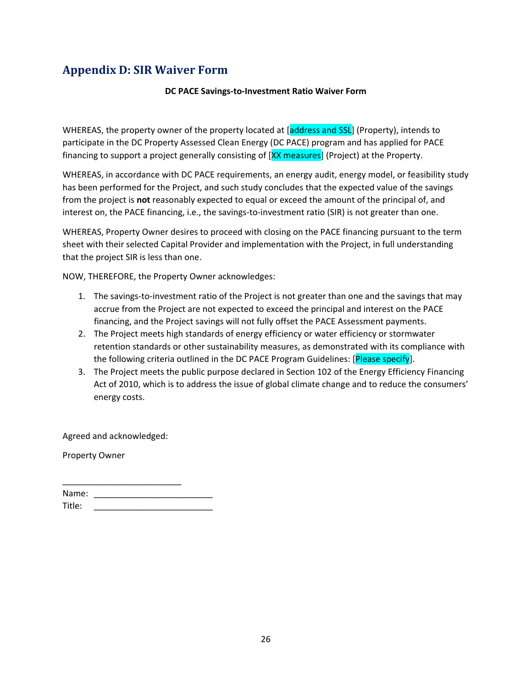# <span id="page-25-0"></span>**Appendix D: SIR Waiver Form**

#### **DC PACE Savings-to-Investment Ratio Waiver Form**

WHEREAS, the property owner of the property located at [address and SSL] (Property), intends to participate in the DC Property Assessed Clean Energy (DC PACE) program and has applied for PACE financing to support a project generally consisting of [XX measures] (Project) at the Property.

WHEREAS, in accordance with DC PACE requirements, an energy audit, energy model, or feasibility study has been performed for the Project, and such study concludes that the expected value of the savings from the project is **not** reasonably expected to equal or exceed the amount of the principal of, and interest on, the PACE financing, i.e., the savings-to-investment ratio (SIR) is not greater than one.

WHEREAS, Property Owner desires to proceed with closing on the PACE financing pursuant to the term sheet with their selected Capital Provider and implementation with the Project, in full understanding that the project SIR is less than one.

NOW, THEREFORE, the Property Owner acknowledges:

- 1. The savings-to-investment ratio of the Project is not greater than one and the savings that may accrue from the Project are not expected to exceed the principal and interest on the PACE financing, and the Project savings will not fully offset the PACE Assessment payments.
- 2. The Project meets high standards of energy efficiency or water efficiency or stormwater retention standards or other sustainability measures, as demonstrated with its compliance with the following criteria outlined in the DC PACE Program Guidelines: [Please specify].
- 3. The Project meets the public purpose declared in Section 102 of the Energy Efficiency Financing Act of 2010, which is to address the issue of global climate change and to reduce the consumers' energy costs.

Agreed and acknowledged:

Property Owner

| Name:  |  |
|--------|--|
| Title: |  |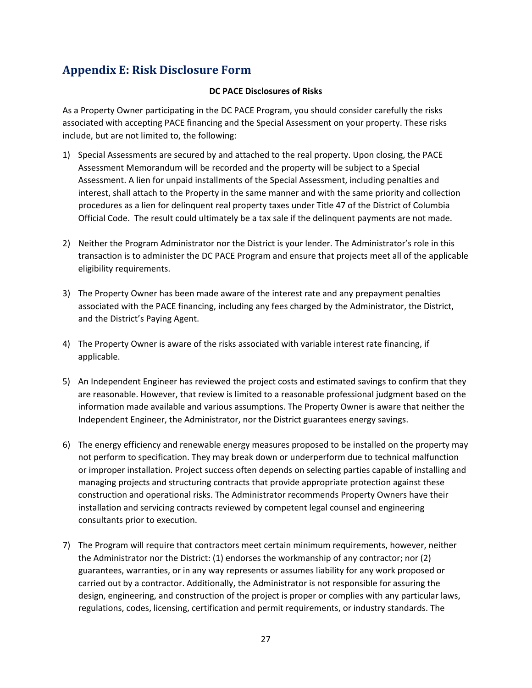# **Appendix E: Risk Disclosure Form**

#### **DC PACE Disclosures of Risks**

As a Property Owner participating in the DC PACE Program, you should consider carefully the risks associated with accepting PACE financing and the Special Assessment on your property. These risks include, but are not limited to, the following:

- 1) Special Assessments are secured by and attached to the real property. Upon closing, the PACE Assessment Memorandum will be recorded and the property will be subject to a Special Assessment. A lien for unpaid installments of the Special Assessment, including penalties and interest, shall attach to the Property in the same manner and with the same priority and collection procedures as a lien for delinquent real property taxes under Title 47 of the District of Columbia Official Code. The result could ultimately be a tax sale if the delinquent payments are not made.
- 2) Neither the Program Administrator nor the District is your lender. The Administrator's role in this transaction is to administer the DC PACE Program and ensure that projects meet all of the applicable eligibility requirements.
- 3) The Property Owner has been made aware of the interest rate and any prepayment penalties associated with the PACE financing, including any fees charged by the Administrator, the District, and the District's Paying Agent.
- 4) The Property Owner is aware of the risks associated with variable interest rate financing, if applicable.
- 5) An Independent Engineer has reviewed the project costs and estimated savings to confirm that they are reasonable. However, that review is limited to a reasonable professional judgment based on the information made available and various assumptions. The Property Owner is aware that neither the Independent Engineer, the Administrator, nor the District guarantees energy savings.
- 6) The energy efficiency and renewable energy measures proposed to be installed on the property may not perform to specification. They may break down or underperform due to technical malfunction or improper installation. Project success often depends on selecting parties capable of installing and managing projects and structuring contracts that provide appropriate protection against these construction and operational risks. The Administrator recommends Property Owners have their installation and servicing contracts reviewed by competent legal counsel and engineering consultants prior to execution.
- 7) The Program will require that contractors meet certain minimum requirements, however, neither the Administrator nor the District: (1) endorses the workmanship of any contractor; nor (2) guarantees, warranties, or in any way represents or assumes liability for any work proposed or carried out by a contractor. Additionally, the Administrator is not responsible for assuring the design, engineering, and construction of the project is proper or complies with any particular laws, regulations, codes, licensing, certification and permit requirements, or industry standards. The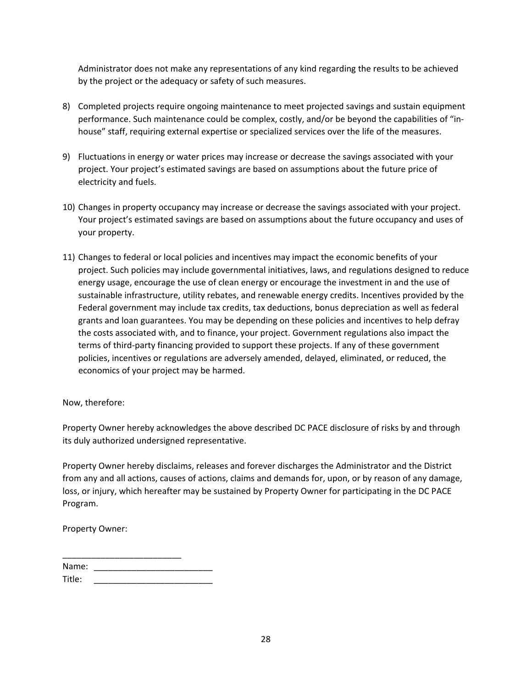Administrator does not make any representations of any kind regarding the results to be achieved by the project or the adequacy or safety of such measures.

- 8) Completed projects require ongoing maintenance to meet projected savings and sustain equipment performance. Such maintenance could be complex, costly, and/or be beyond the capabilities of "inhouse" staff, requiring external expertise or specialized services over the life of the measures.
- 9) Fluctuations in energy or water prices may increase or decrease the savings associated with your project. Your project's estimated savings are based on assumptions about the future price of electricity and fuels.
- 10) Changes in property occupancy may increase or decrease the savings associated with your project. Your project's estimated savings are based on assumptions about the future occupancy and uses of your property.
- 11) Changes to federal or local policies and incentives may impact the economic benefits of your project. Such policies may include governmental initiatives, laws, and regulations designed to reduce energy usage, encourage the use of clean energy or encourage the investment in and the use of sustainable infrastructure, utility rebates, and renewable energy credits. Incentives provided by the Federal government may include tax credits, tax deductions, bonus depreciation as well as federal grants and loan guarantees. You may be depending on these policies and incentives to help defray the costs associated with, and to finance, your project. Government regulations also impact the terms of third-party financing provided to support these projects. If any of these government policies, incentives or regulations are adversely amended, delayed, eliminated, or reduced, the economics of your project may be harmed.

Now, therefore:

Property Owner hereby acknowledges the above described DC PACE disclosure of risks by and through its duly authorized undersigned representative.

Property Owner hereby disclaims, releases and forever discharges the Administrator and the District from any and all actions, causes of actions, claims and demands for, upon, or by reason of any damage, loss, or injury, which hereafter may be sustained by Property Owner for participating in the DC PACE Program.

Property Owner:

| Name:  |  |
|--------|--|
| Title: |  |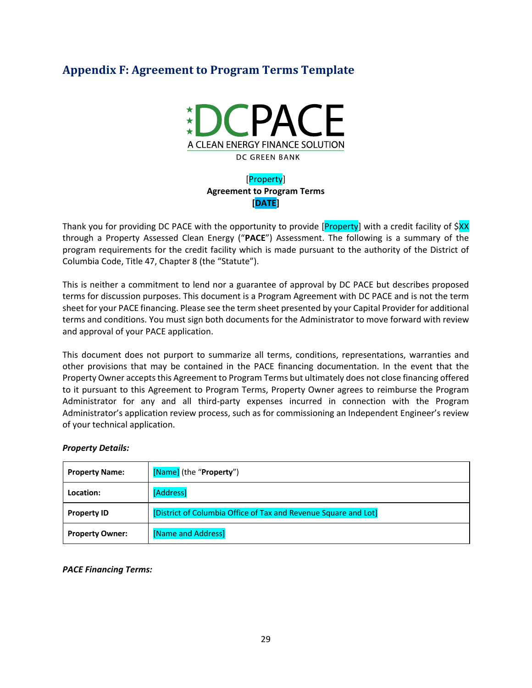# <span id="page-28-0"></span>**Appendix F: Agreement to Program Terms Template**



### [Property] **Agreement to Program Terms [DATE]**

Thank you for providing DC PACE with the opportunity to provide [Property] with a credit facility of \$XX through a Property Assessed Clean Energy ("**PACE**") Assessment. The following is a summary of the program requirements for the credit facility which is made pursuant to the authority of the District of Columbia Code, Title 47, Chapter 8 (the "Statute").

This is neither a commitment to lend nor a guarantee of approval by DC PACE but describes proposed terms for discussion purposes. This document is a Program Agreement with DC PACE and is not the term sheet for your PACE financing. Please see the term sheet presented by your Capital Provider for additional terms and conditions. You must sign both documents for the Administrator to move forward with review and approval of your PACE application.

This document does not purport to summarize all terms, conditions, representations, warranties and other provisions that may be contained in the PACE financing documentation. In the event that the Property Owner accepts this Agreement to Program Terms but ultimately does not close financing offered to it pursuant to this Agreement to Program Terms, Property Owner agrees to reimburse the Program Administrator for any and all third-party expenses incurred in connection with the Program Administrator's application review process, such as for commissioning an Independent Engineer's review of your technical application.

#### *Property Details:*

| <b>Property Name:</b>  | [Name] (the "Property")                                         |
|------------------------|-----------------------------------------------------------------|
| Location:              | [Address]                                                       |
| <b>Property ID</b>     | [District of Columbia Office of Tax and Revenue Square and Lot] |
| <b>Property Owner:</b> | [Name and Address]                                              |

*PACE Financing Terms:*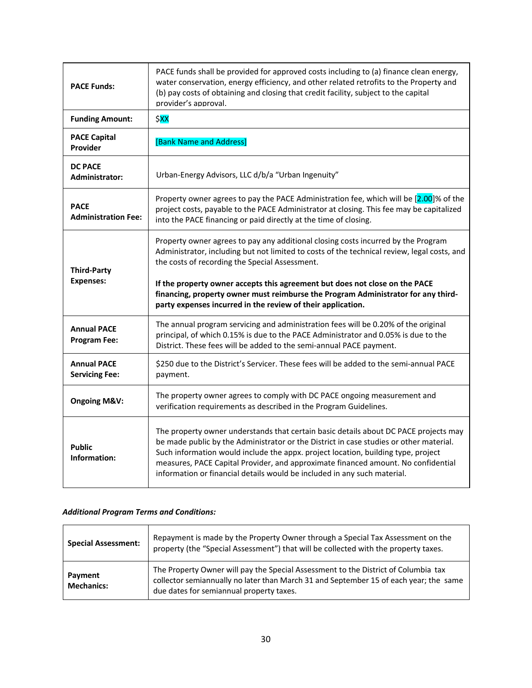| <b>PACE Funds:</b>                          | PACE funds shall be provided for approved costs including to (a) finance clean energy,<br>water conservation, energy efficiency, and other related retrofits to the Property and<br>(b) pay costs of obtaining and closing that credit facility, subject to the capital<br>provider's approval.                                                                                                                                                                       |
|---------------------------------------------|-----------------------------------------------------------------------------------------------------------------------------------------------------------------------------------------------------------------------------------------------------------------------------------------------------------------------------------------------------------------------------------------------------------------------------------------------------------------------|
| <b>Funding Amount:</b>                      | \$XX                                                                                                                                                                                                                                                                                                                                                                                                                                                                  |
| <b>PACE Capital</b><br>Provider             | [Bank Name and Address]                                                                                                                                                                                                                                                                                                                                                                                                                                               |
| <b>DC PACE</b><br>Administrator:            | Urban-Energy Advisors, LLC d/b/a "Urban Ingenuity"                                                                                                                                                                                                                                                                                                                                                                                                                    |
| <b>PACE</b><br><b>Administration Fee:</b>   | Property owner agrees to pay the PACE Administration fee, which will be [2.00]% of the<br>project costs, payable to the PACE Administrator at closing. This fee may be capitalized<br>into the PACE financing or paid directly at the time of closing.                                                                                                                                                                                                                |
| <b>Third-Party</b><br><b>Expenses:</b>      | Property owner agrees to pay any additional closing costs incurred by the Program<br>Administrator, including but not limited to costs of the technical review, legal costs, and<br>the costs of recording the Special Assessment.<br>If the property owner accepts this agreement but does not close on the PACE<br>financing, property owner must reimburse the Program Administrator for any third-<br>party expenses incurred in the review of their application. |
| <b>Annual PACE</b><br><b>Program Fee:</b>   | The annual program servicing and administration fees will be 0.20% of the original<br>principal, of which 0.15% is due to the PACE Administrator and 0.05% is due to the<br>District. These fees will be added to the semi-annual PACE payment.                                                                                                                                                                                                                       |
| <b>Annual PACE</b><br><b>Servicing Fee:</b> | \$250 due to the District's Servicer. These fees will be added to the semi-annual PACE<br>payment.                                                                                                                                                                                                                                                                                                                                                                    |
| <b>Ongoing M&amp;V:</b>                     | The property owner agrees to comply with DC PACE ongoing measurement and<br>verification requirements as described in the Program Guidelines.                                                                                                                                                                                                                                                                                                                         |
| <b>Public</b><br>Information:               | The property owner understands that certain basic details about DC PACE projects may<br>be made public by the Administrator or the District in case studies or other material.<br>Such information would include the appx. project location, building type, project<br>measures, PACE Capital Provider, and approximate financed amount. No confidential<br>information or financial details would be included in any such material.                                  |

#### *Additional Program Terms and Conditions:*

| <b>Special Assessment:</b>   | Repayment is made by the Property Owner through a Special Tax Assessment on the<br>property (the "Special Assessment") that will be collected with the property taxes.                                                  |
|------------------------------|-------------------------------------------------------------------------------------------------------------------------------------------------------------------------------------------------------------------------|
| Payment<br><b>Mechanics:</b> | The Property Owner will pay the Special Assessment to the District of Columbia tax<br>collector semiannually no later than March 31 and September 15 of each year; the same<br>due dates for semiannual property taxes. |